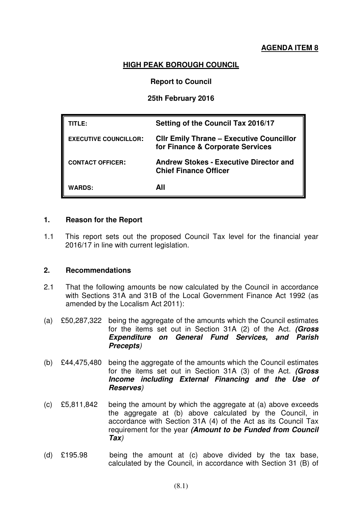# **AGENDA ITEM 8**

### **HIGH PEAK BOROUGH COUNCIL**

### **Report to Council**

#### **25th February 2016**

| TITLE:                       | Setting of the Council Tax 2016/17                                                  |
|------------------------------|-------------------------------------------------------------------------------------|
| <b>EXECUTIVE COUNCILLOR:</b> | <b>CIIr Emily Thrane - Executive Councillor</b><br>for Finance & Corporate Services |
| <b>CONTACT OFFICER:</b>      | <b>Andrew Stokes - Executive Director and</b><br><b>Chief Finance Officer</b>       |
| <b>WARDS:</b>                | All                                                                                 |

#### **1. Reason for the Report**

1.1 This report sets out the proposed Council Tax level for the financial year 2016/17 in line with current legislation.

#### **2. Recommendations**

- 2.1 That the following amounts be now calculated by the Council in accordance with Sections 31A and 31B of the Local Government Finance Act 1992 (as amended by the Localism Act 2011):
- (a) £50,287,322 being the aggregate of the amounts which the Council estimates for the items set out in Section 31A (2) of the Act. **(Gross Expenditure on General Fund Services, and Parish Precepts**)
- (b) £44,475,480 being the aggregate of the amounts which the Council estimates for the items set out in Section 31A (3) of the Act. **(Gross Income including External Financing and the Use of Reserves**)
- (c) £5,811,842 being the amount by which the aggregate at (a) above exceeds the aggregate at (b) above calculated by the Council, in accordance with Section 31A (4) of the Act as its Council Tax requirement for the year **(Amount to be Funded from Council Tax**)
- (d) £195.98 being the amount at (c) above divided by the tax base, calculated by the Council, in accordance with Section 31 (B) of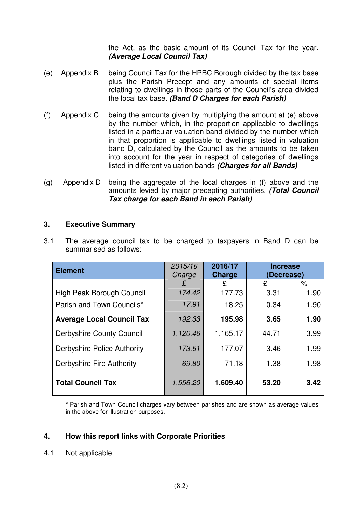the Act, as the basic amount of its Council Tax for the year. **(Average Local Council Tax)**

- (e) Appendix B being Council Tax for the HPBC Borough divided by the tax base plus the Parish Precept and any amounts of special items relating to dwellings in those parts of the Council's area divided the local tax base. **(Band D Charges for each Parish)**
- (f) Appendix C being the amounts given by multiplying the amount at (e) above by the number which, in the proportion applicable to dwellings listed in a particular valuation band divided by the number which in that proportion is applicable to dwellings listed in valuation band D, calculated by the Council as the amounts to be taken into account for the year in respect of categories of dwellings listed in different valuation bands **(Charges for all Bands)**
- (g) Appendix D being the aggregate of the local charges in (f) above and the amounts levied by major precepting authorities. **(Total Council Tax charge for each Band in each Parish)**

### **3. Executive Summary**

| <b>Element</b>                   | 2015/16<br>Charge | 2016/17<br>Charge |       | <b>Increase</b><br>(Decrease) |
|----------------------------------|-------------------|-------------------|-------|-------------------------------|
|                                  | £                 | £                 | £     | $\%$                          |
| High Peak Borough Council        | 174.42            | 177.73            | 3.31  | 1.90                          |
| Parish and Town Councils*        | 17.91             | 18.25             | 0.34  | 1.90                          |
| <b>Average Local Council Tax</b> | 192.33            | 195.98            | 3.65  | 1.90                          |
| <b>Derbyshire County Council</b> | 1,120.46          | 1,165.17          | 44.71 | 3.99                          |
| Derbyshire Police Authority      | 173.61            | 177.07            | 3.46  | 1.99                          |
| Derbyshire Fire Authority        | 69.80             | 71.18             | 1.38  | 1.98                          |
| <b>Total Council Tax</b>         | 1,556.20          | 1,609.40          | 53.20 | 3.42                          |

3.1 The average council tax to be charged to taxpayers in Band D can be summarised as follows:

\* Parish and Town Council charges vary between parishes and are shown as average values in the above for illustration purposes.

# **4. How this report links with Corporate Priorities**

4.1 Not applicable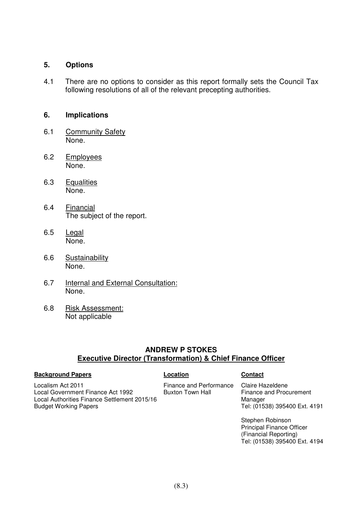#### **5. Options**

4.1 There are no options to consider as this report formally sets the Council Tax following resolutions of all of the relevant precepting authorities.

#### **6. Implications**

- 6.1 Community Safety None.
- 6.2 Employees None.
- 6.3 Equalities None.
- 6.4 Financial The subject of the report.
- 6.5 Legal None.
- 6.6 Sustainability None.
- 6.7 Internal and External Consultation: None.
- 6.8 Risk Assessment: Not applicable

Local Government Finance Act 1992

Local Authorities Finance Settlement 2015/16

## **ANDREW P STOKES Executive Director (Transformation) & Chief Finance Officer**

#### **Background Papers Contact Contact Contact Contact Contact Contact Contact Contact Contact Contact Contact Contact Contact Contact Contact Contact Contact Contact Contact Contact Contact Contact Contact Contact Contact Con**

Budget Working Papers

Localism Act 2011

Finance and Performance Buxton Town Hall

#### Claire Hazeldene Finance and Procurement Manager Tel: (01538) 395400 Ext. 4191

Stephen Robinson Principal Finance Officer (Financial Reporting) Tel: (01538) 395400 Ext. 4194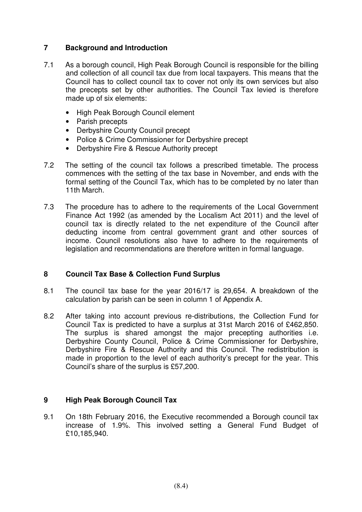# **7 Background and Introduction**

- 7.1 As a borough council, High Peak Borough Council is responsible for the billing and collection of all council tax due from local taxpayers. This means that the Council has to collect council tax to cover not only its own services but also the precepts set by other authorities. The Council Tax levied is therefore made up of six elements:
	- High Peak Borough Council element
	- Parish precepts
	- Derbyshire County Council precept
	- Police & Crime Commissioner for Derbyshire precept
	- Derbyshire Fire & Rescue Authority precept
- 7.2 The setting of the council tax follows a prescribed timetable. The process commences with the setting of the tax base in November, and ends with the formal setting of the Council Tax, which has to be completed by no later than 11th March.
- 7.3 The procedure has to adhere to the requirements of the Local Government Finance Act 1992 (as amended by the Localism Act 2011) and the level of council tax is directly related to the net expenditure of the Council after deducting income from central government grant and other sources of income. Council resolutions also have to adhere to the requirements of legislation and recommendations are therefore written in formal language.

### **8 Council Tax Base & Collection Fund Surplus**

- 8.1 The council tax base for the year 2016/17 is 29,654. A breakdown of the calculation by parish can be seen in column 1 of Appendix A.
- 8.2 After taking into account previous re-distributions, the Collection Fund for Council Tax is predicted to have a surplus at 31st March 2016 of £462,850. The surplus is shared amongst the major precepting authorities i.e. Derbyshire County Council, Police & Crime Commissioner for Derbyshire, Derbyshire Fire & Rescue Authority and this Council. The redistribution is made in proportion to the level of each authority's precept for the year. This Council's share of the surplus is £57,200.

### **9 High Peak Borough Council Tax**

9.1 On 18th February 2016, the Executive recommended a Borough council tax increase of 1.9%. This involved setting a General Fund Budget of £10,185,940.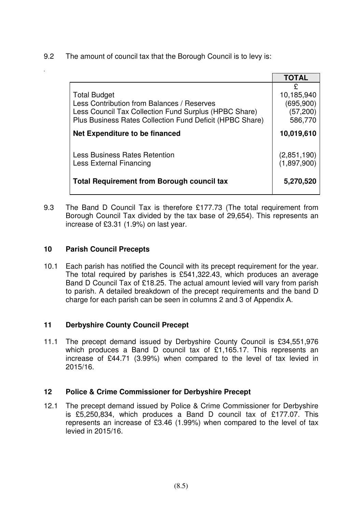9.2 The amount of council tax that the Borough Council is to levy is:

|                                                                                                                                                                                        | <b>TOTAL</b>                                          |
|----------------------------------------------------------------------------------------------------------------------------------------------------------------------------------------|-------------------------------------------------------|
| <b>Total Budget</b><br>Less Contribution from Balances / Reserves<br>Less Council Tax Collection Fund Surplus (HPBC Share)<br>Plus Business Rates Collection Fund Deficit (HPBC Share) | £<br>10,185,940<br>(695, 900)<br>(57, 200)<br>586,770 |
| Net Expenditure to be financed                                                                                                                                                         | 10,019,610                                            |
| <b>Less Business Rates Retention</b><br>Less External Financing                                                                                                                        | (2,851,190)<br>(1,897,900)                            |
| <b>Total Requirement from Borough council tax</b>                                                                                                                                      | 5,270,520                                             |

9.3 The Band D Council Tax is therefore £177.73 (The total requirement from Borough Council Tax divided by the tax base of 29,654). This represents an increase of £3.31 (1.9%) on last year.

# **10 Parish Council Precepts**

*.*

10.1 Each parish has notified the Council with its precept requirement for the year. The total required by parishes is £541,322.43, which produces an average Band D Council Tax of £18.25. The actual amount levied will vary from parish to parish. A detailed breakdown of the precept requirements and the band D charge for each parish can be seen in columns 2 and 3 of Appendix A.

# **11 Derbyshire County Council Precept**

11.1 The precept demand issued by Derbyshire County Council is £34,551,976 which produces a Band D council tax of £1,165,17. This represents an increase of £44.71 (3.99%) when compared to the level of tax levied in 2015/16.

### **12 Police & Crime Commissioner for Derbyshire Precept**

12.1 The precept demand issued by Police & Crime Commissioner for Derbyshire is £5,250,834, which produces a Band D council tax of £177.07. This represents an increase of £3.46 (1.99%) when compared to the level of tax levied in 2015/16.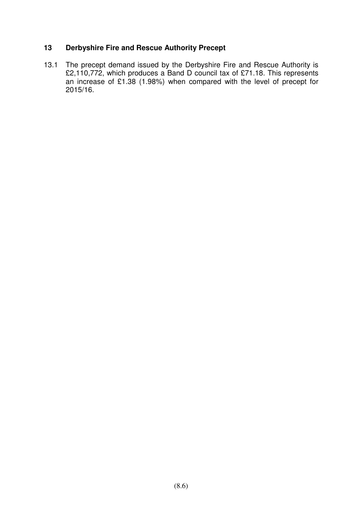### **13 Derbyshire Fire and Rescue Authority Precept**

13.1 The precept demand issued by the Derbyshire Fire and Rescue Authority is £2,110,772, which produces a Band D council tax of £71.18. This represents an increase of £1.38 (1.98%) when compared with the level of precept for 2015/16.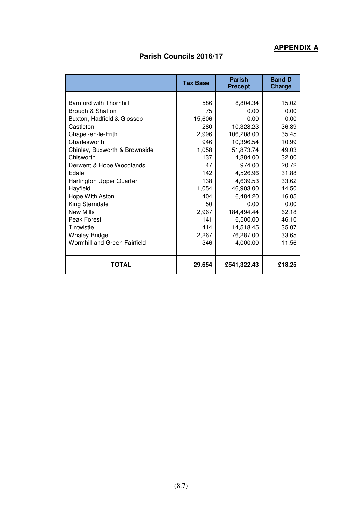# **APPENDIX A**

# **Parish Councils 2016/17**

|                                                                                                                                                                                                                                                                                                                                                                                                                           | <b>Tax Base</b>                                                                                                                             | <b>Parish</b><br><b>Precept</b>                                                                                                                                                                                              | <b>Band D</b><br>Charge                                                                                                                                              |
|---------------------------------------------------------------------------------------------------------------------------------------------------------------------------------------------------------------------------------------------------------------------------------------------------------------------------------------------------------------------------------------------------------------------------|---------------------------------------------------------------------------------------------------------------------------------------------|------------------------------------------------------------------------------------------------------------------------------------------------------------------------------------------------------------------------------|----------------------------------------------------------------------------------------------------------------------------------------------------------------------|
| <b>Bamford with Thornhill</b><br>Brough & Shatton<br>Buxton, Hadfield & Glossop<br>Castleton<br>Chapel-en-le-Frith<br>Charlesworth<br>Chinley, Buxworth & Brownside<br>Chisworth<br>Derwent & Hope Woodlands<br>Edale<br><b>Hartington Upper Quarter</b><br>Hayfield<br>Hope With Aston<br>King Sterndale<br><b>New Mills</b><br>Peak Forest<br>Tintwistle<br><b>Whaley Bridge</b><br><b>Wormhill and Green Fairfield</b> | 586<br>75<br>15,606<br>280<br>2,996<br>946<br>1,058<br>137<br>47<br>142<br>138<br>1,054<br>404<br>50<br>2,967<br>141<br>414<br>2,267<br>346 | 8,804.34<br>0.00<br>0.00<br>10,328.23<br>106,208.00<br>10,396.54<br>51,873.74<br>4,384.00<br>974.00<br>4,526.96<br>4.639.53<br>46,903.00<br>6,484.20<br>0.00<br>184,494.44<br>6,500.00<br>14,518.45<br>76,287.00<br>4,000.00 | 15.02<br>0.00<br>0.00<br>36.89<br>35.45<br>10.99<br>49.03<br>32.00<br>20.72<br>31.88<br>33.62<br>44.50<br>16.05<br>0.00<br>62.18<br>46.10<br>35.07<br>33.65<br>11.56 |
| <b>TOTAL</b>                                                                                                                                                                                                                                                                                                                                                                                                              | 29,654                                                                                                                                      | £541,322.43                                                                                                                                                                                                                  | £18.25                                                                                                                                                               |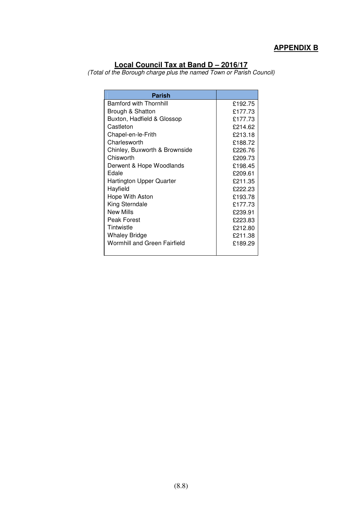# **APPENDIX B**

#### **Local Council Tax at Band D – 2016/17**

(Total of the Borough charge plus the named Town or Parish Council)

| <b>Parish</b>                       |         |
|-------------------------------------|---------|
| <b>Bamford with Thornhill</b>       | £192.75 |
| Brough & Shatton                    | £177.73 |
| Buxton, Hadfield & Glossop          | £177.73 |
| Castleton                           | £214.62 |
| Chapel-en-le-Frith                  | £213.18 |
| Charlesworth                        | £188.72 |
| Chinley, Buxworth & Brownside       | £226.76 |
| Chisworth                           | £209.73 |
| Derwent & Hope Woodlands            | £198.45 |
| Edale                               | £209.61 |
| Hartington Upper Quarter            | £211.35 |
| Hayfield                            | £222.23 |
| Hope With Aston                     | £193.78 |
| King Sterndale                      | £177.73 |
| New Mills                           | £239.91 |
| Peak Forest                         | £223.83 |
| Tintwistle                          | £212.80 |
| <b>Whaley Bridge</b>                | £211.38 |
| <b>Wormhill and Green Fairfield</b> | £189.29 |
|                                     |         |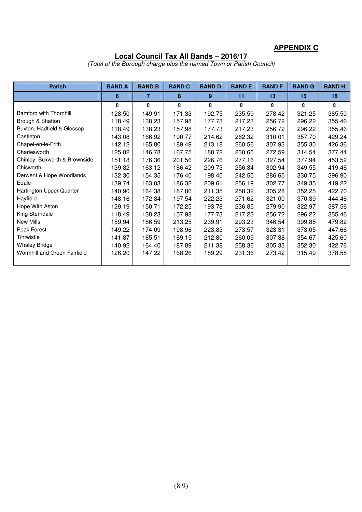# **APPENDIX C**

### **Local Council Tax All Bands – 2016/17**

(Total of the Borough charge plus the named Town or Parish Council)

| <b>Parish</b>                 | <b>BAND A</b> | <b>BAND B</b>  | <b>BAND C</b> | <b>BAND D</b> | <b>BAND E</b> | <b>BAND F</b> | <b>BAND G</b> | <b>BANDH</b> |
|-------------------------------|---------------|----------------|---------------|---------------|---------------|---------------|---------------|--------------|
|                               | 6             | $\overline{7}$ | 8             | 9             | 11            | 13            | 15            | 18           |
|                               | £             | £              | £             | £             | £             | £             | £             | £            |
| <b>Bamford with Thornhill</b> | 128.50        | 149.91         | 171.33        | 192.75        | 235.59        | 278.42        | 321.25        | 385.50       |
| Brough & Shatton              | 118.49        | 138.23         | 157.98        | 177.73        | 217.23        | 256.72        | 296.22        | 355.46       |
| Buxton, Hadfield & Glossop    | 118.49        | 138.23         | 157.98        | 177.73        | 217.23        | 256.72        | 296.22        | 355.46       |
| Castleton                     | 143.08        | 166.92         | 190.77        | 214.62        | 262.32        | 310.01        | 357.70        | 429.24       |
| Chapel-en-le-Frith            | 142.12        | 165.80         | 189.49        | 213.18        | 260.56        | 307.93        | 355.30        | 426.36       |
| Charlesworth                  | 125.82        | 146.78         | 167.75        | 188.72        | 230.66        | 272.59        | 314.54        | 377.44       |
| Chinley, Buxworth & Brownside | 151.18        | 176.36         | 201.56        | 226.76        | 277.16        | 327.54        | 377.94        | 453.52       |
| Chisworth                     | 139.82        | 163.12         | 186.42        | 209.73        | 256.34        | 302.94        | 349.55        | 419.46       |
| Derwent & Hope Woodlands      | 132.30        | 154.35         | 176.40        | 198.45        | 242.55        | 286.65        | 330.75        | 396.90       |
| Edale                         | 139.74        | 163.03         | 186.32        | 209.61        | 256.19        | 302.77        | 349.35        | 419.22       |
| Hartington Upper Quarter      | 140.90        | 164.38         | 187.86        | 211.35        | 258.32        | 305.28        | 352.25        | 422.70       |
| Hayfield                      | 148.16        | 172.84         | 197.54        | 222.23        | 271.62        | 321.00        | 370.39        | 444.46       |
| Hope With Aston               | 129.19        | 150.71         | 172.25        | 193.78        | 236.85        | 279.90        | 322.97        | 387.56       |
| King Sterndale                | 118.49        | 138.23         | 157.98        | 177.73        | 217.23        | 256.72        | 296.22        | 355.46       |
| New Mills                     | 159.94        | 186.59         | 213.25        | 239.91        | 293.23        | 346.54        | 399.85        | 479.82       |
| Peak Forest                   | 149.22        | 174.09         | 198.96        | 223.83        | 273.57        | 323.31        | 373.05        | 447.66       |
| Tintwistle                    | 141.87        | 165.51         | 189.15        | 212.80        | 260.09        | 307.38        | 354.67        | 425.60       |
| <b>Whaley Bridge</b>          | 140.92        | 164.40         | 187.89        | 211.38        | 258.36        | 305.33        | 352.30        | 422.76       |
| Wormhill and Green Fairfield  | 126.20        | 147.22         | 168.26        | 189.29        | 231.36        | 273.42        | 315.49        | 378.58       |